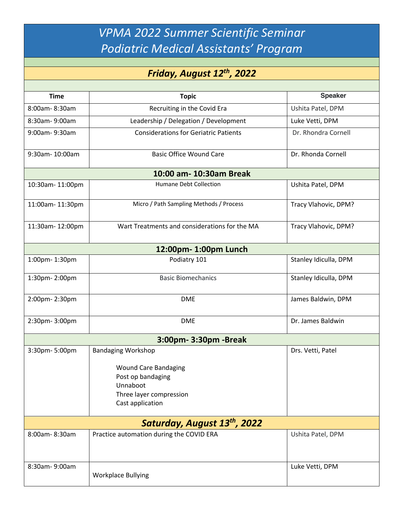*VPMA 2022 Summer Scientific Seminar Podiatric Medical Assistants' Program*

## *Friday, August 12th, 2022*

| <b>Time</b>                              | <b>Topic</b>                                                                                                                             | <b>Speaker</b>        |  |
|------------------------------------------|------------------------------------------------------------------------------------------------------------------------------------------|-----------------------|--|
| 8:00am-8:30am                            | Recruiting in the Covid Era                                                                                                              | Ushita Patel, DPM     |  |
| 8:30am-9:00am                            | Leadership / Delegation / Development                                                                                                    | Luke Vetti, DPM       |  |
| 9:00am-9:30am                            | <b>Considerations for Geriatric Patients</b>                                                                                             | Dr. Rhondra Cornell   |  |
| 9:30am-10:00am                           | <b>Basic Office Wound Care</b>                                                                                                           | Dr. Rhonda Cornell    |  |
| 10:00 am- 10:30am Break                  |                                                                                                                                          |                       |  |
| 10:30am-11:00pm                          | Humane Debt Collection                                                                                                                   | Ushita Patel, DPM     |  |
| 11:00am-11:30pm                          | Micro / Path Sampling Methods / Process                                                                                                  | Tracy Vlahovic, DPM?  |  |
| 11:30am-12:00pm                          | Wart Treatments and considerations for the MA                                                                                            | Tracy Vlahovic, DPM?  |  |
| 12:00pm-1:00pm Lunch                     |                                                                                                                                          |                       |  |
| 1:00pm-1:30pm                            | Podiatry 101                                                                                                                             | Stanley Idiculla, DPM |  |
| 1:30pm-2:00pm                            | <b>Basic Biomechanics</b>                                                                                                                | Stanley Idiculla, DPM |  |
| 2:00pm-2:30pm                            | <b>DME</b>                                                                                                                               | James Baldwin, DPM    |  |
| 2:30pm-3:00pm                            | <b>DME</b>                                                                                                                               | Dr. James Baldwin     |  |
| 3:00pm- 3:30pm - Break                   |                                                                                                                                          |                       |  |
| 3:30pm-5:00pm                            | <b>Bandaging Workshop</b><br><b>Wound Care Bandaging</b><br>Post op bandaging<br>Unnaboot<br>Three layer compression<br>Cast application | Drs. Vetti, Patel     |  |
| Saturday, August 13 <sup>th</sup> , 2022 |                                                                                                                                          |                       |  |
| 8:00am-8:30am                            | Practice automation during the COVID ERA                                                                                                 | Ushita Patel, DPM     |  |
| 8:30am-9:00am                            | <b>Workplace Bullying</b>                                                                                                                | Luke Vetti, DPM       |  |